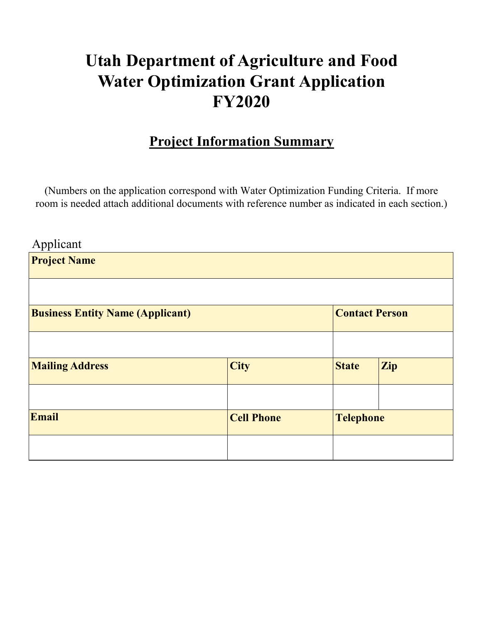# **Utah Department of Agriculture and Food Water Optimization Grant Application FY2020**

## **Project Information Summary**

(Numbers on the application correspond with Water Optimization Funding Criteria. If more room is needed attach additional documents with reference number as indicated in each section.)

| Applicant                               |                   |                       |                  |  |
|-----------------------------------------|-------------------|-----------------------|------------------|--|
| <b>Project Name</b>                     |                   |                       |                  |  |
|                                         |                   |                       |                  |  |
|                                         |                   |                       |                  |  |
| <b>Business Entity Name (Applicant)</b> |                   | <b>Contact Person</b> |                  |  |
|                                         |                   |                       |                  |  |
|                                         |                   |                       |                  |  |
| <b>Mailing Address</b>                  | <b>City</b>       | <b>State</b>          | <b>Zip</b>       |  |
|                                         |                   |                       |                  |  |
|                                         |                   |                       |                  |  |
| <b>Email</b>                            | <b>Cell Phone</b> |                       | <b>Telephone</b> |  |
|                                         |                   |                       |                  |  |
|                                         |                   |                       |                  |  |
|                                         |                   |                       |                  |  |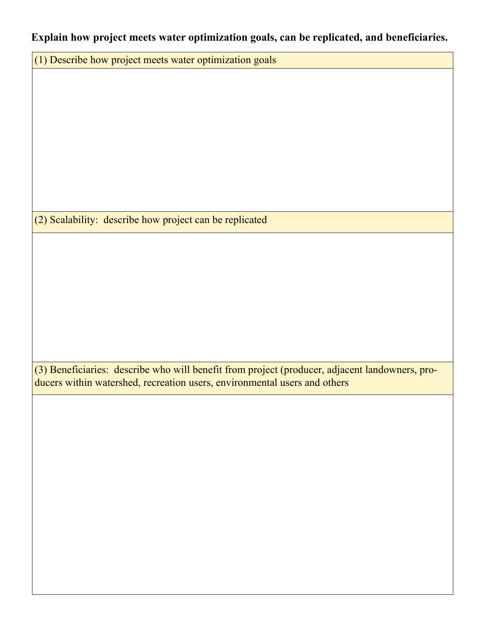#### **Explain how project meets water optimization goals, can be replicated, and beneficiaries.**

(1) Describe how project meets water optimization goals

(2) Scalability: describe how project can be replicated

(3) Beneficiaries: describe who will benefit from project (producer, adjacent landowners, producers within watershed, recreation users, environmental users and others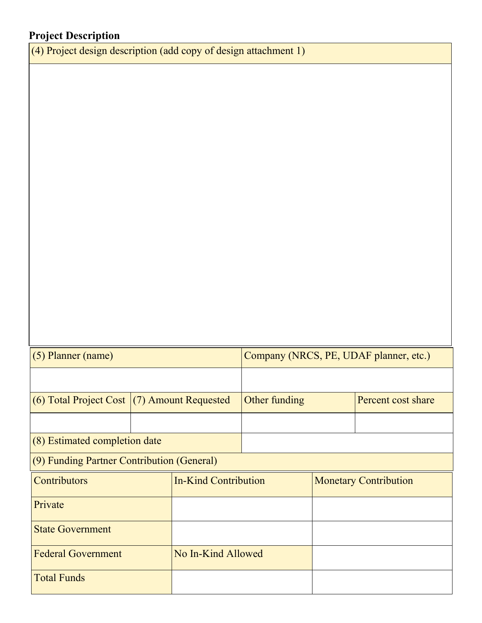### **Project Description**

(4) Project design description (add copy of design attachment 1)

| $(5)$ Planner (name)                            |                             | Company (NRCS, PE, UDAF planner, etc.) |               |  |                              |  |
|-------------------------------------------------|-----------------------------|----------------------------------------|---------------|--|------------------------------|--|
|                                                 |                             |                                        |               |  |                              |  |
| $(6)$ Total Project Cost $(7)$ Amount Requested |                             |                                        | Other funding |  | Percent cost share           |  |
|                                                 |                             |                                        |               |  |                              |  |
| $(8)$ Estimated completion date                 |                             |                                        |               |  |                              |  |
| (9) Funding Partner Contribution (General)      |                             |                                        |               |  |                              |  |
| Contributors                                    | <b>In-Kind Contribution</b> |                                        |               |  | <b>Monetary Contribution</b> |  |
| Private                                         |                             |                                        |               |  |                              |  |
| <b>State Government</b>                         |                             |                                        |               |  |                              |  |
| No In-Kind Allowed<br><b>Federal Government</b> |                             |                                        |               |  |                              |  |
| <b>Total Funds</b>                              |                             |                                        |               |  |                              |  |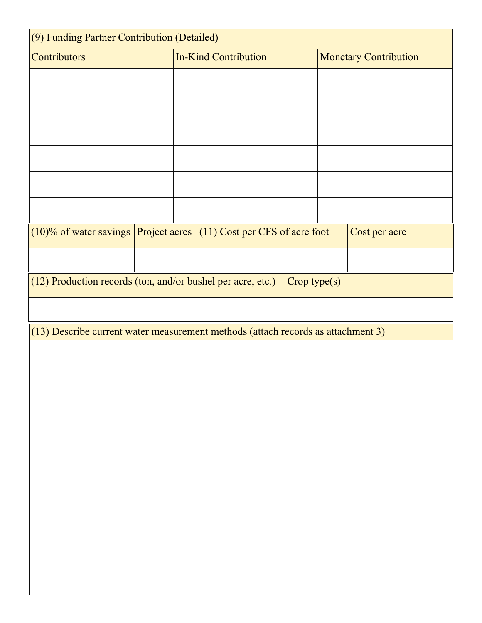| (9) Funding Partner Contribution (Detailed)                                          |  |                             |  |  |                              |  |               |
|--------------------------------------------------------------------------------------|--|-----------------------------|--|--|------------------------------|--|---------------|
| Contributors                                                                         |  | <b>In-Kind Contribution</b> |  |  | <b>Monetary Contribution</b> |  |               |
|                                                                                      |  |                             |  |  |                              |  |               |
|                                                                                      |  |                             |  |  |                              |  |               |
|                                                                                      |  |                             |  |  |                              |  |               |
|                                                                                      |  |                             |  |  |                              |  |               |
|                                                                                      |  |                             |  |  |                              |  |               |
|                                                                                      |  |                             |  |  |                              |  |               |
|                                                                                      |  |                             |  |  |                              |  |               |
| $(10)$ % of water savings Project acres $(11)$ Cost per CFS of acre foot             |  |                             |  |  |                              |  | Cost per acre |
|                                                                                      |  |                             |  |  |                              |  |               |
| (12) Production records (ton, and/or bushel per acre, etc.)<br>$\text{Crop type}(s)$ |  |                             |  |  |                              |  |               |
|                                                                                      |  |                             |  |  |                              |  |               |
| (13) Describe current water measurement methods (attach records as attachment 3)     |  |                             |  |  |                              |  |               |
|                                                                                      |  |                             |  |  |                              |  |               |
|                                                                                      |  |                             |  |  |                              |  |               |
|                                                                                      |  |                             |  |  |                              |  |               |
|                                                                                      |  |                             |  |  |                              |  |               |
|                                                                                      |  |                             |  |  |                              |  |               |
|                                                                                      |  |                             |  |  |                              |  |               |
|                                                                                      |  |                             |  |  |                              |  |               |
|                                                                                      |  |                             |  |  |                              |  |               |
|                                                                                      |  |                             |  |  |                              |  |               |
|                                                                                      |  |                             |  |  |                              |  |               |
|                                                                                      |  |                             |  |  |                              |  |               |
|                                                                                      |  |                             |  |  |                              |  |               |
|                                                                                      |  |                             |  |  |                              |  |               |
|                                                                                      |  |                             |  |  |                              |  |               |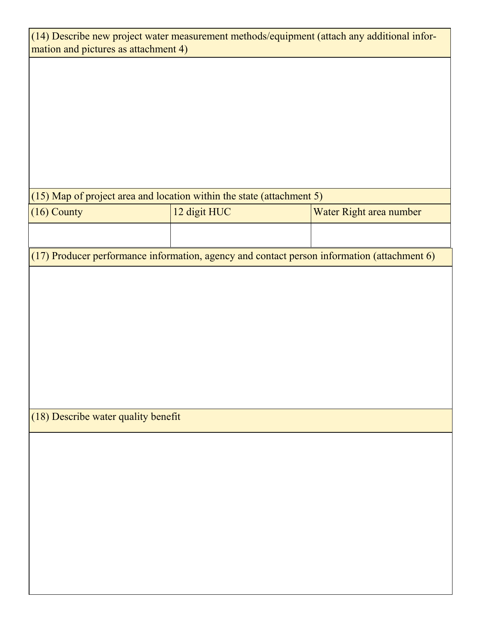| (14) Describe new project water measurement methods/equipment (attach any additional infor- |              |                         |  |  |  |  |
|---------------------------------------------------------------------------------------------|--------------|-------------------------|--|--|--|--|
| mation and pictures as attachment 4)                                                        |              |                         |  |  |  |  |
|                                                                                             |              |                         |  |  |  |  |
|                                                                                             |              |                         |  |  |  |  |
|                                                                                             |              |                         |  |  |  |  |
|                                                                                             |              |                         |  |  |  |  |
|                                                                                             |              |                         |  |  |  |  |
|                                                                                             |              |                         |  |  |  |  |
|                                                                                             |              |                         |  |  |  |  |
|                                                                                             |              |                         |  |  |  |  |
|                                                                                             |              |                         |  |  |  |  |
|                                                                                             |              |                         |  |  |  |  |
|                                                                                             |              |                         |  |  |  |  |
| (15) Map of project area and location within the state (attachment 5)                       |              |                         |  |  |  |  |
| (16) County                                                                                 | 12 digit HUC | Water Right area number |  |  |  |  |
|                                                                                             |              |                         |  |  |  |  |
|                                                                                             |              |                         |  |  |  |  |
| (17) Producer performance information, agency and contact person information (attachment 6) |              |                         |  |  |  |  |
|                                                                                             |              |                         |  |  |  |  |
|                                                                                             |              |                         |  |  |  |  |
|                                                                                             |              |                         |  |  |  |  |
|                                                                                             |              |                         |  |  |  |  |
|                                                                                             |              |                         |  |  |  |  |
|                                                                                             |              |                         |  |  |  |  |
|                                                                                             |              |                         |  |  |  |  |
|                                                                                             |              |                         |  |  |  |  |
|                                                                                             |              |                         |  |  |  |  |
|                                                                                             |              |                         |  |  |  |  |
|                                                                                             |              |                         |  |  |  |  |
|                                                                                             |              |                         |  |  |  |  |
| (18) Describe water quality benefit                                                         |              |                         |  |  |  |  |
|                                                                                             |              |                         |  |  |  |  |
|                                                                                             |              |                         |  |  |  |  |
|                                                                                             |              |                         |  |  |  |  |
|                                                                                             |              |                         |  |  |  |  |
|                                                                                             |              |                         |  |  |  |  |
|                                                                                             |              |                         |  |  |  |  |
|                                                                                             |              |                         |  |  |  |  |
|                                                                                             |              |                         |  |  |  |  |
|                                                                                             |              |                         |  |  |  |  |
|                                                                                             |              |                         |  |  |  |  |
|                                                                                             |              |                         |  |  |  |  |
|                                                                                             |              |                         |  |  |  |  |